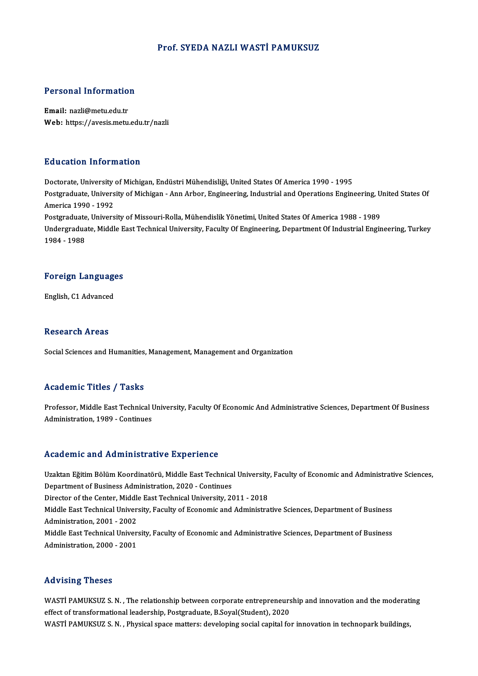#### Prof. SYEDA NAZLI WASTİ PAMUKSUZ

# Personal Information

Personal Informatio<br>Email: nazli@metu.edu.tr<br>Web: https://avesis.metu Email: nazli@metu.edu.tr<br>Web: https://avesis.metu.edu.tr/nazli

#### Education Information

Education Information<br>Doctorate, University of Michigan, Endüstri Mühendisliği, United States Of America 1990 - 1995<br>Postaraduate University of Michigan, Ann Arbor, Engineering Industrial and Operations Engine Postgraduate, University of Michigan - Ann Arbor, Engineering, Industrial and Operations Engineering, United States Of<br>America 1990 - 1992 Doctorate, University<br>Postgraduate, Univers<br>America 1990 - 1992<br>Postgraduate, Univers Postgraduate, University of Michigan - Ann Arbor, Engineering, Industrial and Operations Engineering, U<br>America 1990 - 1992<br>Postgraduate, University of Missouri-Rolla, Mühendislik Yönetimi, United States Of America 1988 - Undergraduate, Middle East Technical University, Faculty Of Engineering, Department Of Industrial Engineering, Turkey<br>1984 - 1988 Postgraduate<br>Undergradua<br>1984 - 1988

## 1984 - 1988<br>Foreign Languages F<mark>oreign Languag</mark>e<br>English, C1 Advanced

English, C1 Advanced<br>Research Areas

Social Sciences and Humanities, Management, Management and Organization

#### Academic Titles / Tasks

Academic Titles / Tasks<br>Professor, Middle East Technical University, Faculty Of Economic And Administrative Sciences, Department Of Business Administration, 1988<br>Professor, Middle East Technical I<br>Administration, 1989 - Continues Administration, 1989 - Continues<br>Academic and Administrative Experience

Academic and Administrative Experience<br>Uzaktan Eğitim Bölüm Koordinatörü, Middle East Technical University, Faculty of Economic and Administrative Sciences,<br>Penartment of Business Administration, 2020, Continues Departmento della Transmessa della Compositore<br>Department of Business Administration, 2020 - Continues<br>Director of the Contor, Middle Fast Technical University, 20 Uzaktan Eğitim Bölüm Koordinatörü, Middle East Technical University<br>Department of Business Administration, 2020 - Continues<br>Director of the Center, Middle East Technical University, 2011 - 2018<br>Middle Fast Technical Univer Department of Business Administration, 2020 - Continues<br>Director of the Center, Middle East Technical University, 2011 - 2018<br>Middle East Technical University, Faculty of Economic and Administrative Sciences, Department of Director of the Center, Middle East Technical University, 2011 - 2018<br>Middle East Technical University, Faculty of Economic and Administration, 2001 - 2002 Middle East Technical University, Faculty of Economic and Administrative Sciences, Department of Business<br>Administration, 2001 - 2002<br>Middle East Technical University, Faculty of Economic and Administrative Sciences, Depar Middle East Technical University, Faculty of Economic and Administrative Sciences, Department of Business<br>Administration, 2000 - 2001

#### Advising Theses

Advising Theses<br>WASTİ PAMUKSUZ S.N. , The relationship between corporate entrepreneurship and innovation and the moderating<br>effect of transformational leadership Pestgraduate B Seval(Student), 2020. ef ectof transformational leadership between corporate entrepreneurs<br>effect of transformational leadership, Postgraduate, B.Soyal(Student), 2020<br>WASTI BAMUKSUZ S. N. , Physical space matters: developing social spaital fo WASTİ PAMUKSUZ S. N. , The relationship between corporate entrepreneurship and innovation and the moderat<br>effect of transformational leadership, Postgraduate, B.Soyal(Student), 2020<br>WASTİ PAMUKSUZ S. N. , Physical space ma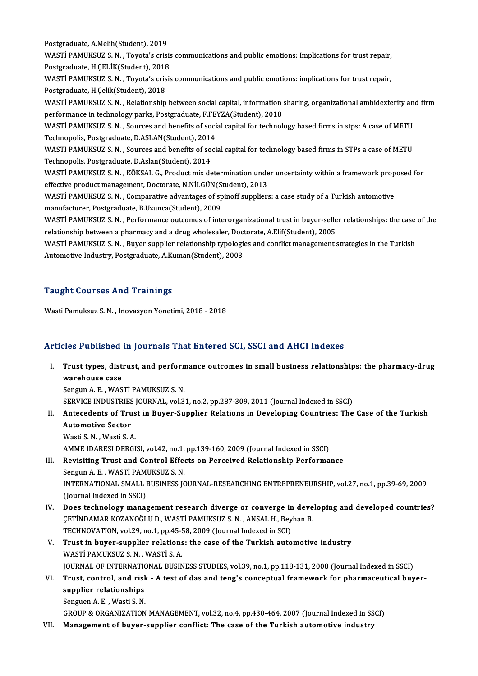Postgraduate,A.Melih(Student),2019 Postgraduate, A.Melih(Student), 2019<br>WASTİ PAMUKSUZ S. N. , Toyota's crisis communications and public emotions: Implications for trust repair,<br>Pestsraduate, H.CELİK(Student), 2019 Postgraduate, A.Melih(Student), 2019<br>WASTİ PAMUKSUZ S. N. , Toyota's crisis<br>Postgraduate, H.ÇELİK(Student), 2018<br>WASTİ PAMUKSUZ S. N. , Toyota's quiqis WASTİ PAMUKSUZ S.N. , Toyota's crisis communications and public emotions: Implications for trust repair,<br>Postgraduate, H.ÇELİK(Student), 2018<br>WASTİ PAMUKSUZ S.N. , Toyota's crisis communications and public emotions: implic Postgraduate, H.ÇELİK(Student), 2018<br>WASTİ PAMUKSUZ S. N. , Toyota's crisis communications and public emotions: implications for trust repair,<br>Postgraduate, H.Çelik(Student), 2018 WASTİ PAMUKSUZ S.N. , Toyota's crisis communications and public emotions: implications for trust repair,<br>Postgraduate, H.Çelik(Student), 2018<br>WASTİ PAMUKSUZ S.N. , Relationship between social capital, information sharing, Postgraduate, H.Çelik(Student), 2018<br>WASTİ PAMUKSUZ S. N. , Relationship between social capital, information<br>performance in technology parks, Postgraduate, F.FEYZA(Student), 2018<br>WASTİ PAMUKSUZ S. N. , Sources and banefits WASTİ PAMUKSUZ S.N. , Relationship between social capital, information sharing, organizational ambidexterity and<br>performance in technology parks, Postgraduate, F.FEYZA(Student), 2018<br>WASTİ PAMUKSUZ S.N. , Sources and benef performance in technology parks, Postgraduate, F.FEYZA(Student), 2018<br>WASTİ PAMUKSUZ S. N. , Sources and benefits of social capital for technology based firms in stps: A case of METU<br>Technopolis, Postgraduate, D.ASLAN(Stud WASTİ PAMUKSUZ S.N. , Sources and benefits of social capital for technology based firms in stps: A case of METU<br>Technopolis, Postgraduate, D.ASLAN(Student), 2014<br>WASTİ PAMUKSUZ S.N. , Sources and benefits of social capital Technopolis, Postgraduate, D.ASLAN(Student), 2014<br>WASTİ PAMUKSUZ S. N. , Sources and benefits of so<br>Technopolis, Postgraduate, D.Aslan(Student), 2014<br>WASTİ RAMUKSUZ S. N. – KÖKSAL G. Produst miv de WASTİ PAMUKSUZ S. N. , Sources and benefits of social capital for technology based firms in STPs a case of METU<br>Technopolis, Postgraduate, D.Aslan(Student), 2014<br>WASTİ PAMUKSUZ S. N. , KÖKSAL G., Product mix determination Technopolis, Postgraduate, D.Aslan(Student), 2014<br>WASTİ PAMUKSUZ S. N. , KÖKSAL G., Product mix determination under uncertainty within a framework proposed for<br>effective product management, Doctorate, N.NİLGÜN(Student), 20 WASTİ PAMUKSUZ S. N. , KÖKSAL G., Product mix determination under uncertainty within a framework prop<br>effective product management, Doctorate, N.NİLGÜN(Student), 2013<br>WASTİ PAMUKSUZ S. N. , Comparative advantages of spinof effective product management, Doctorate, N.NİLGÜN(S<br>WASTİ PAMUKSUZ S. N. , Comparative advantages of sp<br>manufacturer, Postgraduate, B.Uzunca(Student), 2009<br>WASTİ PAMUKSUZ S. N. , Porformance euteemes of inte WASTİ PAMUKSUZ S.N. , Comparative advantages of spinoff suppliers: a case study of a Turkish automotive<br>manufacturer, Postgraduate, B.Uzunca(Student), 2009<br>WASTİ PAMUKSUZ S.N. , Performance outcomes of interorganizational manufacturer, Postgraduate, B.Uzunca(Student), 2009<br>WASTİ PAMUKSUZ S. N. , Performance outcomes of interorganizational trust in buyer-selle<br>relationship between a pharmacy and a drug wholesaler, Doctorate, A.Elif(Student), WASTİ PAMUKSUZ S.N. , Performance outcomes of interorganizational trust in buyer-seller relationships: the case<br>relationship between a pharmacy and a drug wholesaler, Doctorate, A.Elif(Student), 2005<br>WASTİ PAMUKSUZ S.N. , relationship between a pharmacy and a drug wholesaler, Doctorate, A.Elif(Student), 2005<br>WASTİ PAMUKSUZ S. N. , Buyer supplier relationship typologies and conflict management strategies in the Turkish<br>Automotive Industry, P

## Taught Courses And Trainings

Wasti Pamuksuz S. N., Inovasyon Yonetimi, 2018 - 2018

## Articles Published in Journals That Entered SCI, SSCI and AHCI Indexes

I. Trust types, distrust, and performance outcomes in smal business relationships: the pharmacy-drug Trust types, dist.<br>Trust types, dist.<br>Sengun A E WAS Trust types, distrust, and perform<br>warehouse case<br>Sengun A. E. , WASTİ PAMUKSUZ S. N.<br>SERVICE INDUSTRIES JOURNAL .vol 2 warehouse case<br>Sengun A. E. , WASTİ PAMUKSUZ S. N.<br>SERVICE INDUSTRIES JOURNAL, vol.31, no.2, pp.287-309, 2011 (Journal Indexed in SSCI)

Sengun A. E. , WASTİ PAMUKSUZ S. N.<br>SERVICE INDUSTRIES JOURNAL, vol.31, no.2, pp.287-309, 2011 (Journal Indexed in SSCI)<br>II. Antecedents of Trust in Buyer-Supplier Relations in Developing Countries: The Case of the Tur SERVICE INDUSTRIES<br>Antecedents of Tru<br>Automotive Sector<br>Westi S.N., Westi S.A **Antecedents of Trus<br>Automotive Sector<br>Wasti S.N., Wasti S.A.<br>AMME IDAPESI DEPCI** Automotive Sector<br>Wasti S. N. , Wasti S. A.<br>AMME IDARESI DERGISI, vol.42, no.1, pp.139-160, 2009 (Journal Indexed in SSCI)

- Wasti S. N. , Wasti S. A.<br>AMME IDARESI DERGISI, vol.42, no.1, pp.139-160, 2009 (Journal Indexed in SSCI)<br>III. Revisiting Trust and Control Effects on Perceived Relationship Performance<br>Sengun A. E. WASTI PAMUKSUZ S. N AMME IDARESI DERGISI, vol.42, no.1,<br>Revisiting Trust and Control Effee<br>Sengun A. E. , WASTİ PAMUKSUZ S. N.<br>INTERNATIONAL SMALL BUSINESS IG INTERNATIONAL SMALL BUSINESS JOURNAL-RESEARCHING ENTREPRENEURSHIP, vol.27, no.1, pp.39-69, 2009<br>(Journal Indexed in SSCI) Sengun A. E., WASTİ PAMUKSUZ S. N.
- IV. Does technologymanagement research diverge or converge in developing and developed countries? (Journal Indexed in SSCI)<br>Does technology management research diverge or converge in deve<br>ÇETİNDAMAR KOZANOĞLU D., WASTİ PAMUKSUZ S. N. , ANSAL H., Beyhan B.<br>TECHNOVATION vel 29 no.1 np.45 58, 2009 (Journal Indexed in SCI) Does technology management research diverge or converge in<br>ÇETİNDAMAR KOZANOĞLU D., WASTİ PAMUKSUZ S. N. , ANSAL H., Bey<br>TECHNOVATION, vol.29, no.1, pp.45-58, 2009 (Journal Indexed in SCI)<br>Trust in buyer sunnlisr relations TECHNOVATION, vol.29, no.1, pp.45-58, 2009 (Journal Indexed in SCI)
- V. Trust in buyer-supplier relations: the case of the Turkish automotive industry WASTI PAMUKSUZ S. N., WASTI S. A. Trust in buyer-supplier relations: the case of the Turkish automotive industry<br>WASTİ PAMUKSUZ S. N. , WASTİ S. A.<br>JOURNAL OF INTERNATIONAL BUSINESS STUDIES, vol.39, no.1, pp.118-131, 2008 (Journal Indexed in SSCI)<br>Trust, s WASTİ PAMUKSUZ S. N. , WASTİ S. A.<br>JOURNAL OF INTERNATIONAL BUSINESS STUDIES, vol.39, no.1, pp.118-131, 2008 (Journal Indexed in SSCI)<br>VI. Trust, control, and risk - A test of das and teng's conceptual framework for ph
- **JOURNAL OF INTERNATION**<br>Trust, control, and rish<br>supplier relationships<br>Senguen A E Westi S N Trust, control, and risk<br>supplier relationships<br>Senguen A.E., Wasti S.N.<br>CROUP & ORCANIZATION supplier relationships<br>Senguen A. E. , Wasti S. N.<br>GROUP & ORGANIZATION MANAGEMENT, vol.32, no.4, pp.430-464, 2007 (Journal Indexed in SSCI)<br>Management of buyer sunplier conflict: The case of the Turkish autometive industr

Senguen A. E. , Wasti S. N.<br>GROUP & ORGANIZATION MANAGEMENT, vol.32, no.4, pp.430-464, 2007 (Journal Indexed in SS<br>VII. Management of buyer-supplier conflict: The case of the Turkish automotive industry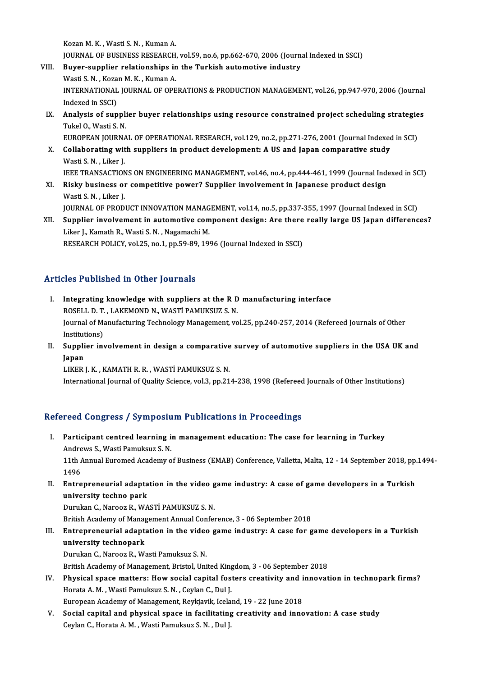KozanM.K. ,WastiS.N. ,KumanA.

Kozan M. K. , Wasti S. N. , Kuman A.<br>JOURNAL OF BUSINESS RESEARCH, vol.59, no.6, pp.662-670, 2006 (Journal Indexed in SSCI)<br>Buyen sunnlier relationships in the Turkish eutemative industry.

Kozan M. K., Wasti S. N., Kuman A.<br>JOURNAL OF BUSINESS RESEARCH, vol.59, no.6, pp.662-670, 2006 (Journ.<br>VIII. Buyer-supplier relationships in the Turkish automotive industry<br>Westi S. N., Koran M. K., Kuman A. JOURNAL OF BUSINESS RESEARCH<br>Buyer-supplier relationships in<br>Wasti S. N. , Kozan M. K. , Kuman A.<br>INTERNATIONAL JOURNAL OF ORE VIII. Buyer-supplier relationships in the Turkish automotive industry<br>Wasti S. N. , Kozan M. K. , Kuman A.<br>INTERNATIONAL JOURNAL OF OPERATIONS & PRODUCTION MANAGEMENT, vol.26, pp.947-970, 2006 (Journal<br>Indexed in SSCI) Wasti S. N., Kozan M. K., Kuman A. INTERNATIONAL JOURNAL OF OPERATIONS & PRODUCTION MANAGEMENT, vol.26, pp.947-970, 2006 (Journal<br>Indexed in SSCI)<br>IX. Analysis of supplier buyer relationships using resource constrained project scheduling strategies<br>Tukel O.

Indexed in SSCI)<br>**Analysis of suppli**<br>Tukel O., Wasti S. N.<br>FUROPEAN JOURNA Analysis of supplier buyer relationships using resource constrained project scheduling strategie<br>Tukel 0., Wasti S. N.<br>EUROPEAN JOURNAL OF OPERATIONAL RESEARCH, vol.129, no.2, pp.271-276, 2001 (Journal Indexed in SCI)<br>Coll

- Tukel O., Wasti S. N.<br>EUROPEAN JOURNAL OF OPERATIONAL RESEARCH, vol.129, no.2, pp.271-276, 2001 (Journal Indexed<br>X. Collaborating with suppliers in product development: A US and Japan comparative study<br>Westi S. N. Liker L EUROPEAN JOURNA<br>Collaborating wit<br>Wasti S. N. , Liker J.<br>JEEE TRANSACTION X. Collaborating with suppliers in product development: A US and Japan comparative study<br>Wasti S. N. , Liker J.<br>IEEE TRANSACTIONS ON ENGINEERING MANAGEMENT, vol.46, no.4, pp.444-461, 1999 (Journal Indexed in SCI)
	-
- XI. Risky business or competitive power? Supplier involvement in Japanese product design WastiS.N. ,Liker J. Risky business or competitive power? Supplier involvement in Japanese product design<br>Wasti S. N. , Liker J.<br>JOURNAL OF PRODUCT INNOVATION MANAGEMENT, vol.14, no.5, pp.337-355, 1997 (Journal Indexed in SCI)<br>Supplier involve
- XII. Supplier involvement in automotive component design: Are there really large US Japan differences?<br>Liker J., Kamath R., Wasti S. N., Nagamachi M. **JOURNAL OF PRODUCT INNOVATION MANAG<br>Supplier involvement in automotive com<br>Liker J., Kamath R., Wasti S. N. , Nagamachi M.**<br>RESEARCH POLICY vol 25, no 1, np 50, 90, 100 RESEARCH POLICY, vol.25, no.1, pp.59-89, 1996 (Journal Indexed in SSCI)

#### Articles Published in Other Journals

- Thicles Published in Other Journals<br>I. Integrating knowledge with suppliers at the R D manufacturing interface<br>ROSELL D T, LAKEMOND N, WASTI RAMUKSUZ S N Rose Tubishou in Stron Journals<br>Integrating knowledge with suppliers at the R D<br>ROSELL D.T., LAKEMOND N., WASTİ PAMUKSUZ S.N. Integrating knowledge with suppliers at the R D manufacturing interface<br>ROSELL D. T. , LAKEMOND N., WASTİ PAMUKSUZ S. N.<br>Journal of Manufacturing Technology Management, vol.25, pp.240-257, 2014 (Refereed Journals of Other<br> ROSELL D.T.<br>Journal of Ma<br>Institutions)<br>Sunnlier in: Journal of Manufacturing Technology Management, vol.25, pp.240-257, 2014 (Refereed Journals of Other<br>Institutions)<br>II. Supplier involvement in design a comparative survey of automotive suppliers in the USA UK and<br>Ionan
- Institut<br><mark>Suppli</mark><br>Japan<br>LIVEP Japan<br>LIKER J. K. , KAMATH R. R. , WASTİ PAMUKSUZ S. N.

International Journal of Quality Science, vol.3, pp.214-238, 1998 (Refereed Journals of Other Institutions)

## Refereed Congress / Symposium Publications in Proceedings

- efereed Congress / Symposium Publications in Proceedings<br>I. Participant centred learning in management education: The case for learning in Turkey Andrews S., Wastington, Branch<br>Participant centred learning is<br>Andrews S., Wasti Pamuksuz S. N. Participant centred learning in management education: The case for learning in Turkey<br>Andrews S., Wasti Pamuksuz S. N.<br>11th Annual Euromed Academy of Business (EMAB) Conference, Valletta, Malta, 12 - 14 September 2018, pp. Andre<br>11th /<br>1496<br>Entre 11th Annual Euromed Academy of Business (EMAB) Conference, Valletta, Malta, 12 - 14 September 2018, pp.<br>1496<br>II. Entrepreneurial adaptation in the video game industry: A case of game developers in a Turkish<br>university tech
- 1496<br>II. Entrepreneurial adaptation in the video game industry: A case of game developers in a Turkish<br>university techno park

Durukan C., Narooz R., WASTİ PAMUKSUZ S.N.

British Academy of Management Annual Conference, 3 - 06 September 2018

## Durukan C., Narooz R., WASTİ PAMUKSUZ S. N.<br>British Academy of Management Annual Conference, 3 - 06 September 2018<br>III. Entrepreneurial adaptation in the video game industry: A case for game developers in a Turkish<br>waivors British Academy of Manag<br>Entrepreneurial adapt<br>university technopark<br>Punukan C. Narogr B. We Entrepreneurial adaptation in the video<br>university technopark<br>Durukan C., Narooz R., Wasti Pamuksuz S. N.<br>Pritish Agdemy of Managament, Pristel Uni university technopark<br>Durukan C., Narooz R., Wasti Pamuksuz S. N.<br>British Academy of Management, Bristol, United Kingdom, 3 - 06 September 2018<br>Physisal anage matters: How social conital fosters greativity and innoyat

- Durukan C., Narooz R., Wasti Pamuksuz S. N.<br>British Academy of Management, Bristol, United Kingdom, 3 06 September 2018<br>IV. Physical space matters: How social capital fosters creativity and innovation in technopark firms British Academy of Management, Bristol, United King<br>**Physical space matters: How social capital fost**<br>Horata A. M. , Wasti Pamuksuz S. N. , Ceylan C., Dul J.<br>European Academy of Management, Berltiauil: Jeolo Physical space matters: How social capital fosters creativity and i<br>Horata A. M. , Wasti Pamuksuz S. N. , Ceylan C., Dul J.<br>European Academy of Management, Reykjavik, Iceland, 19 - 22 June 2018<br>Secial sanital and nhysical European Academy of Management, Reykjavik, Iceland, 19 - 22 June 2018
- Horata A. M. , Wasti Pamuksuz S. N. , Ceylan C., Dul J.<br>European Academy of Management, Reykjavik, Iceland, 19 22 June 2018<br>V. Social capital and physical space in facilitating creativity and innovation: A case study<br>Cey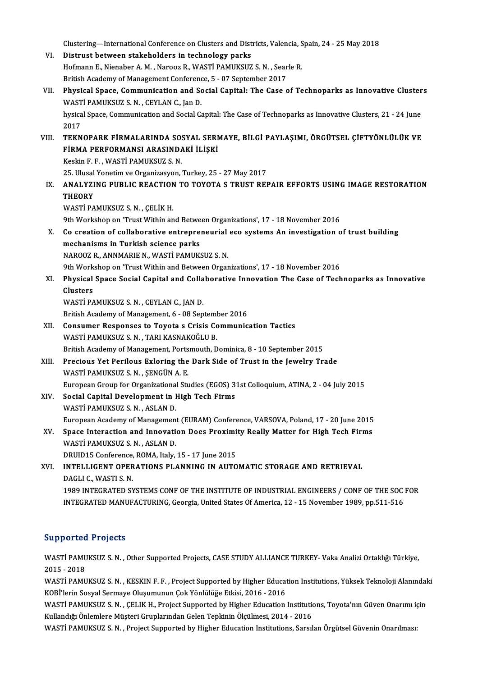Clustering—International Conference on Clusters and Districts, Valencia, Spain, 24 - 25 May 2018<br>Distruct between stakebalders in technology parks

Clustering—International Conference on Clusters and Dist<br>VI. Distrust between stakeholders in technology parks<br>Hefmann E. Nienaber A. M. Naneer B. WASTI PAMUKSUZ Clustering—International Conference on Clusters and Districts, Valencia, S<br>Distrust between stakeholders in technology parks<br>Hofmann E., Nienaber A. M. , Narooz R., WASTİ PAMUKSUZ S.N. , Searle R.<br>Pritish Asedemy of Managa VI. Distrust between stakeholders in technology parks<br>Hofmann E., Nienaber A. M., Narooz R., WASTI PAMUKSUZ S. N., Searle R. Hofmann E., Nienaber A. M. , Narooz R., WASTİ PAMUKSUZ S. N. , Searle R.<br>British Academy of Management Conference, 5 - 07 September 2017<br>VII. Physical Space, Communication and Social Capital: The Case of Technoparks as Inn British Academy of Management Conference, 5 - 07 September 2017<br>Physical Space, Communication and Social Capital: The Case<br>WASTİ PAMUKSUZ S.N., CEYLAN C., Jan D. Physical Space, Communication and Social Capital: The Case of Technoparks as Innovative Cluster<br>WASTİ PAMUKSUZ S. N. , CEYLAN C., Jan D.<br>hysical Space, Communication and Social Capital: The Case of Technoparks as Innovativ hysical Space, Communication and Social Capital: The Case of Technoparks as Innovative Clusters, 21 - 24 June 2017 hysical Space, Communication and Social Capital: The Case of Technoparks as Innovative Clusters, 21 - 24 June<br>2017<br>VIII. TEKNOPARK FİRMALARINDA SOSYAL SERMAYE, BİLGİ PAYLAŞIMI, ÖRGÜTSEL ÇİFTYÖNLÜLÜK VE 2017<br>TEKNOPARK FİRMALARINDA SOSYAL SERI<br>FİRMA PERFORMANSI ARASINDAKİ İLİŞKİ<br>Keskin E. E. WASTİ BAMIKSUZ S. N TEKNOPARK FİRMALARINDA SO:<br>FİRMA PERFORMANSI ARASINDA<br>Keskin F. F. , WASTİ PAMUKSUZ S. N.<br>25. Husel Yongtim və Organizasıyon FİRMA PERFORMANSI ARASINDAKİ İLİŞKİ<br>Keskin F. F. , WASTİ PAMUKSUZ S. N.<br>25. Ulusal Yonetim ve Organizasyon, Turkey, 25 - 27 May 2017<br>ANAJ YZINC PURLIC REACTION TO TOYOTA S TRUST REI Keskin F. F. , WASTİ PAMUKSUZ S. N.<br>25. Ulusal Yonetim ve Organizasyon, Turkey, 25 - 27 May 2017<br>IX. ANALYZING PUBLIC REACTION TO TOYOTA S TRUST REPAIR EFFORTS USING IMAGE RESTORATION<br>THEORY 25. Ulusal<br><mark>ANALYZI</mark><br>THEORY<br>WAST<sup>I RA</sup> WASTİ PAMUKSUZ S.N., ÇELİK H. 9th Workshop on 'Trust Within and Between Organizations', 17 - 18 November 2016 WASTİ PAMUKSUZ S. N. , ÇELİK H.<br>9th Workshop on 'Trust Within and Between Organizations', 17 - 18 November 2016<br>X. Co creation of collaborative entrepreneurial eco systems An investigation of trust building<br>mechanisma in T 9th Workshop on 'Trust Within and Betwe<br>Co creation of collaborative entrepre:<br>mechanisms in Turkish science parks<br>NAPOOZ B. ANNMABUE N. WASTI BAMUZY Co creation of collaborative entrepreneurial<br>mechanisms in Turkish science parks<br>NAROOZ R., ANNMARIE N., WASTİ PAMUKSUZ S.N.<br>9th Werkshap en 'Twet Within and Betysen Organ mechanisms in Turkish science parks<br>NAROOZ R., ANNMARIE N., WASTİ PAMUKSUZ S. N.<br>9th Workshop on 'Trust Within and Between Organizations', 17 - 18 November 2016<br>Physical Space Secial Capital and Callabarative Innovation Th NAROOZ R., ANNMARIE N., WASTİ PAMUKSUZ S. N.<br>9th Workshop on 'Trust Within and Between Organizations', 17 - 18 November 2016<br>XI. Physical Space Social Capital and Collaborative Innovation The Case of Technoparks as Inn **9th Work<br>Physical<br>Clusters<br>WASTI PA** Physical Space Social Capital and Colla<br>Clusters<br>WASTİ PAMUKSUZ S.N. , CEYLAN C., JAN D.<br>Pritish Asedemy of Manasement 6, 09 Sen Clusters<br>WASTİ PAMUKSUZ S. N. , CEYLAN C., JAN D.<br>British Academy of Management, 6 - 08 September 2016 XII. Consumer Responses to Toyota s Crisis Communication Tactics WASTİ PAMUKSUZ S.N., TARI KASNAKOĞLU B. British Academy of Management, Portsmouth, Dominica, 8 - 10 September 2015 XIII. Precious Yet Perilous Exloring the Dark Side of Trust in the Jewelry Trade WASTİPAMUKSUZ S.N. ,ŞENGÜNA.E. Precious Yet Perilous Exloring the Dark Side of Trust in the Jewelry Trade<br>WASTİ PAMUKSUZ S. N. , ŞENGÜN A. E.<br>European Group for Organizational Studies (EGOS) 31st Colloquium, ATINA, 2 - 04 July 2015<br>Secial Capital Develo XIV. Social Capital Development in High Tech Firms European Group for Organizationa<br>Social Capital Development in I<br>WASTİ PAMUKSUZ S.N., ASLAN D.<br>European Acedemy of Managaman Social Capital Development in High Tech Firms<br>WASTİ PAMUKSUZ S. N. , ASLAN D.<br>European Academy of Management (EURAM) Conference, VARSOVA, Poland, 17 - 20 June 2015<br>Space Internation and Innovation Does Provimity Boolly Mat WASTİ PAMUKSUZ S. N. , ASLAN D.<br>European Academy of Management (EURAM) Conference, VARSOVA, Poland, 17 - 20 June 2015<br>XV. Space Interaction and Innovation Does Proximity Really Matter for High Tech Firms<br>WASTİ PAMUKSUZ S. WASTİ PAMUKSUZ S. N. , ASLAN D.<br>DRUID15 Conference. ROMA. Italy. 15 - 17 June 2015 XV. Space Interaction and Innovation Does Proximity Really Matter for High Tech Firms WASTI PAMUKSUZ S. N. , ASLAN D.<br>DRUID15 Conference, ROMA, Italy, 15 - 17 June 2015<br>XVI. INTELLIGENT OPERATIONS PLANNING IN AUTOMATIC STORAGE AND RETRIEVAL<br>DACLLE WASTI S. N DRUID15 Conference,<br>INTELLIGENT OPER<br>DAGLI C., WASTI S. N.<br>1999 INTECRATED SY INTELLIGENT OPERATIONS PLANNING IN AUTOMATIC STORAGE AND RETRIEVAL<br>DAGLI C., WASTI S. N.<br>1989 INTEGRATED SYSTEMS CONF OF THE INSTITUTE OF INDUSTRIAL ENGINEERS / CONF OF THE SOC FOR<br>INTECRATED MANUEACTURING Coorgia United S DAGLI C., WASTI S. N.<br>1989 INTEGRATED SYSTEMS CONF OF THE INSTITUTE OF INDUSTRIAL ENGINEERS / CONF OF THE SOC<br>INTEGRATED MANUFACTURING, Georgia, United States Of America, 12 - 15 November 1989, pp.511-516 INTEGRATED MANUFACTURING, Georgia, United States Of America, 12 - 15 November 1989, pp.511-516<br>Supported Projects

Supported Projects<br>WASTİ PAMUKSUZ S.N. , Other Supported Projects, CASE STUDY ALLIANCE TURKEY- Vaka Analizi Ortaklığı Türkiye,<br>2015 - 2018 5apported<br>WASTI PAMU<br>2015 - 2018<br>WASTI RAMU WASTİ PAMUKSUZ S. N. , Other Supported Projects, CASE STUDY ALLIANCE TURKEY- Vaka Analizi Ortaklığı Türkiye,<br>2015 - 2018<br>WASTİ PAMUKSUZ S. N. , KESKIN F. F. , Project Supported by Higher Education Institutions, Yüksek Tekn

2015 - 2018<br>WASTİ PAMUKSUZ S. N. , KESKIN F. F. , Project Supported by Higher Education Institutions, Yüksek Teknoloji Alanındaki<br>KOBİ'lerin Sosyal Sermaye Oluşumunun Çok Yönlülüğe Etkisi, 2016 - 2016 WASTİ PAMUKSUZ S.N., KESKIN F.F., Project Supported by Higher Education Institutions, Yüksek Teknoloji Alanındal<br>KOBİ'lerin Sosyal Sermaye Oluşumunun Çok Yönlülüğe Etkisi, 2016 - 2016<br>WASTİ PAMUKSUZ S.N., ÇELIK H., Project

KOBİ'lerin Sosyal Sermaye Oluşumunun Çok Yönlülüğe Etkisi, 2016 - 2016<br>WASTİ PAMUKSUZ S. N. , ÇELIK H., Project Supported by Higher Education Institution<br>Kullandığı Önlemlere Müşteri Gruplarından Gelen Tepkinin Ölçülmesi, WASTİ PAMUKSUZ S. N. , ÇELIK H., Project Supported by Higher Education Institutions, Toyota'nın Güven Onarımı iç<br>Kullandığı Önlemlere Müşteri Gruplarından Gelen Tepkinin Ölçülmesi, 2014 - 2016<br>WASTİ PAMUKSUZ S. N. , Projec